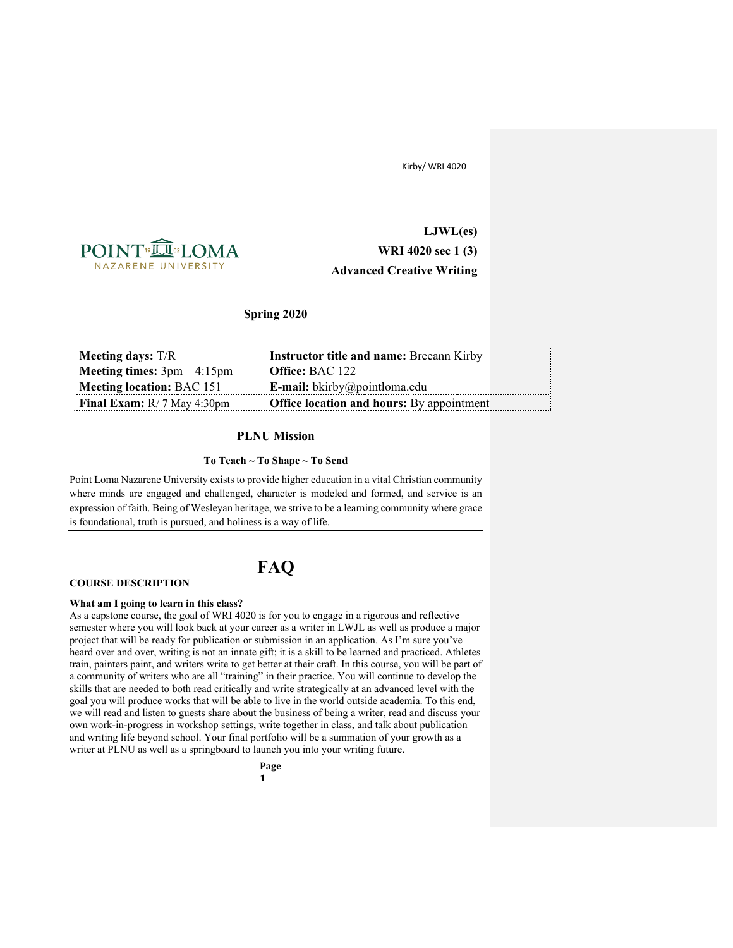

**LJWL(es) WRI 4020 sec 1 (3) Advanced Creative Writing**

# **Spring 2020**

| Meeting days: $T/R$                  | <b>Instructor title and name: Breeann Kirby</b>  |  |
|--------------------------------------|--------------------------------------------------|--|
| <b>Meeting times:</b> $3pm - 4:15pm$ | <b>Office:</b> BAC 122                           |  |
| Meeting location: BAC 151            | <b>E-mail:</b> bkirby@pointloma.edu              |  |
| <b>Final Exam:</b> $R/7$ May 4:30pm  | <b>Office location and hours:</b> By appointment |  |

## **PLNU Mission**

## **To Teach ~ To Shape ~ To Send**

Point Loma Nazarene University exists to provide higher education in a vital Christian community where minds are engaged and challenged, character is modeled and formed, and service is an expression of faith. Being of Wesleyan heritage, we strive to be a learning community where grace is foundational, truth is pursued, and holiness is a way of life.

**FAQ**

#### **COURSE DESCRIPTION**

### **What am I going to learn in this class?**

As a capstone course, the goal of WRI 4020 is for you to engage in a rigorous and reflective semester where you will look back at your career as a writer in LWJL as well as produce a major project that will be ready for publication or submission in an application. As I'm sure you've heard over and over, writing is not an innate gift; it is a skill to be learned and practiced. Athletes train, painters paint, and writers write to get better at their craft. In this course, you will be part of a community of writers who are all "training" in their practice. You will continue to develop the skills that are needed to both read critically and write strategically at an advanced level with the goal you will produce works that will be able to live in the world outside academia. To this end, we will read and listen to guests share about the business of being a writer, read and discuss your own work-in-progress in workshop settings, write together in class, and talk about publication and writing life beyond school. Your final portfolio will be a summation of your growth as a writer at PLNU as well as a springboard to launch you into your writing future.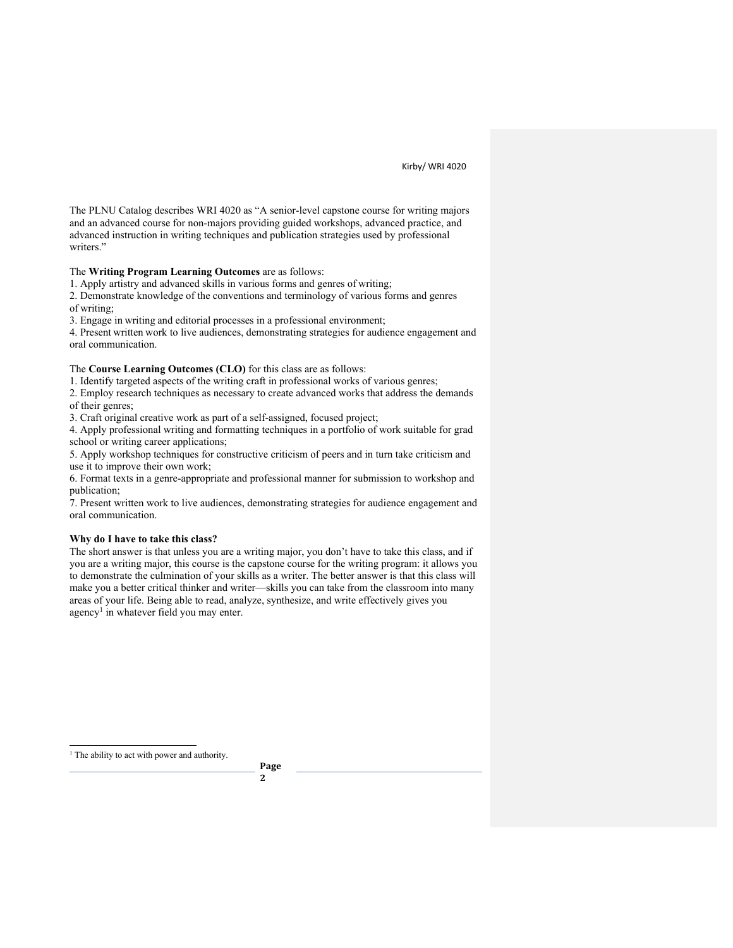The PLNU Catalog describes WRI 4020 as "A senior-level capstone course for writing majors and an advanced course for non-majors providing guided workshops, advanced practice, and advanced instruction in writing techniques and publication strategies used by professional writers."

The **Writing Program Learning Outcomes** are as follows:

1. Apply artistry and advanced skills in various forms and genres of writing;

2. Demonstrate knowledge of the conventions and terminology of various forms and genres of writing;

3. Engage in writing and editorial processes in a professional environment;

4. Present written work to live audiences, demonstrating strategies for audience engagement and oral communication.

The **Course Learning Outcomes (CLO)** for this class are as follows:

1. Identify targeted aspects of the writing craft in professional works of various genres;

2. Employ research techniques as necessary to create advanced works that address the demands of their genres;

3. Craft original creative work as part of a self-assigned, focused project;

4. Apply professional writing and formatting techniques in a portfolio of work suitable for grad school or writing career applications;

5. Apply workshop techniques for constructive criticism of peers and in turn take criticism and use it to improve their own work;

6. Format texts in a genre-appropriate and professional manner for submission to workshop and publication;

7. Present written work to live audiences, demonstrating strategies for audience engagement and oral communication.

#### **Why do I have to take this class?**

The short answer is that unless you are a writing major, you don't have to take this class, and if you are a writing major, this course is the capstone course for the writing program: it allows you to demonstrate the culmination of your skills as a writer. The better answer is that this class will make you a better critical thinker and writer—skills you can take from the classroom into many areas of your life. Being able to read, analyze, synthesize, and write effectively gives you agency<sup>1</sup> in whatever field you may enter.

<sup>1</sup> The ability to act with power and authority.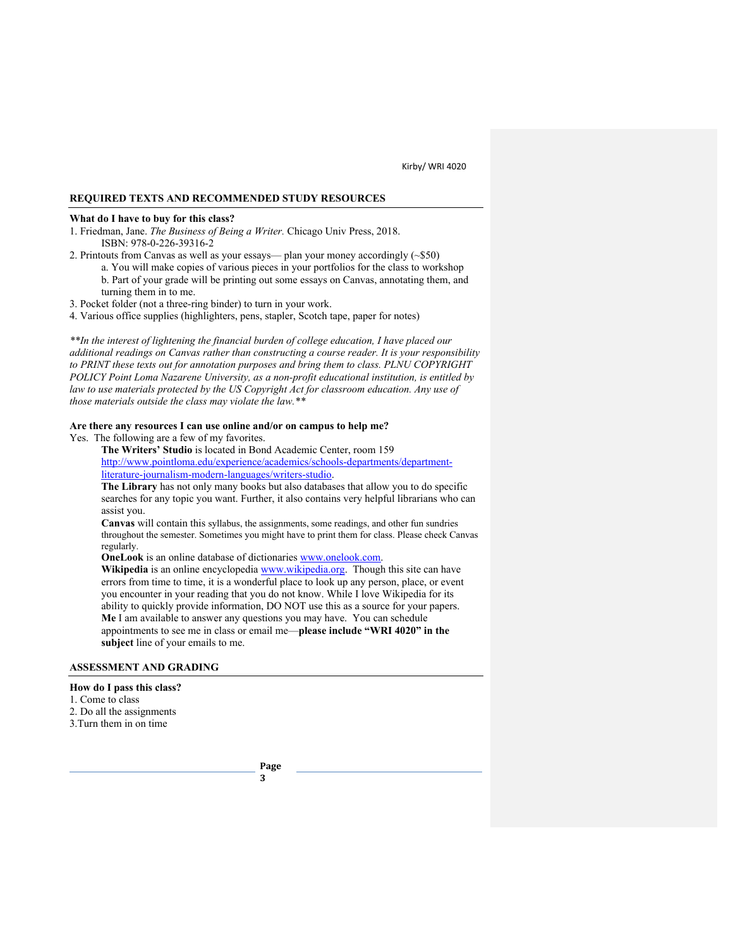## **REQUIRED TEXTS AND RECOMMENDED STUDY RESOURCES**

#### **What do I have to buy for this class?**

- 1. Friedman, Jane. *The Business of Being a Writer.* Chicago Univ Press, 2018. ISBN: 978-0-226-39316-2
- 2. Printouts from Canvas as well as your essays— plan your money accordingly (~\$50)
	- a. You will make copies of various pieces in your portfolios for the class to workshop b. Part of your grade will be printing out some essays on Canvas, annotating them, and turning them in to me.
- 3. Pocket folder (not a three-ring binder) to turn in your work.
- 4. Various office supplies (highlighters, pens, stapler, Scotch tape, paper for notes)

*\*\*In the interest of lightening the financial burden of college education, I have placed our additional readings on Canvas rather than constructing a course reader. It is your responsibility to PRINT these texts out for annotation purposes and bring them to class. PLNU COPYRIGHT POLICY Point Loma Nazarene University, as a non-profit educational institution, is entitled by law to use materials protected by the US Copyright Act for classroom education. Any use of those materials outside the class may violate the law.\*\**

### **Are there any resources I can use online and/or on campus to help me?**

Yes. The following are a few of my favorites.

**The Writers' Studio** is located in Bond Academic Center, room 159 http://www.pointloma.edu/experience/academics/schools-departments/departmentliterature-journalism-modern-languages/writers-studio.

**The Library** has not only many books but also databases that allow you to do specific searches for any topic you want. Further, it also contains very helpful librarians who can assist you.

**Canvas** will contain this syllabus, the assignments, some readings, and other fun sundries throughout the semester. Sometimes you might have to print them for class. Please check Canvas regularly.

**OneLook** is an online database of dictionaries www.onelook.com.

Wikipedia is an online encyclopedia www.wikipedia.org. Though this site can have errors from time to time, it is a wonderful place to look up any person, place, or event you encounter in your reading that you do not know. While I love Wikipedia for its ability to quickly provide information, DO NOT use this as a source for your papers. **Me** I am available to answer any questions you may have. You can schedule appointments to see me in class or email me—**please include "WRI 4020" in the subject** line of your emails to me.

## **ASSESSMENT AND GRADING**

## **How do I pass this class?**

- 1. Come to class
- 2. Do all the assignments
- 3.Turn them in on time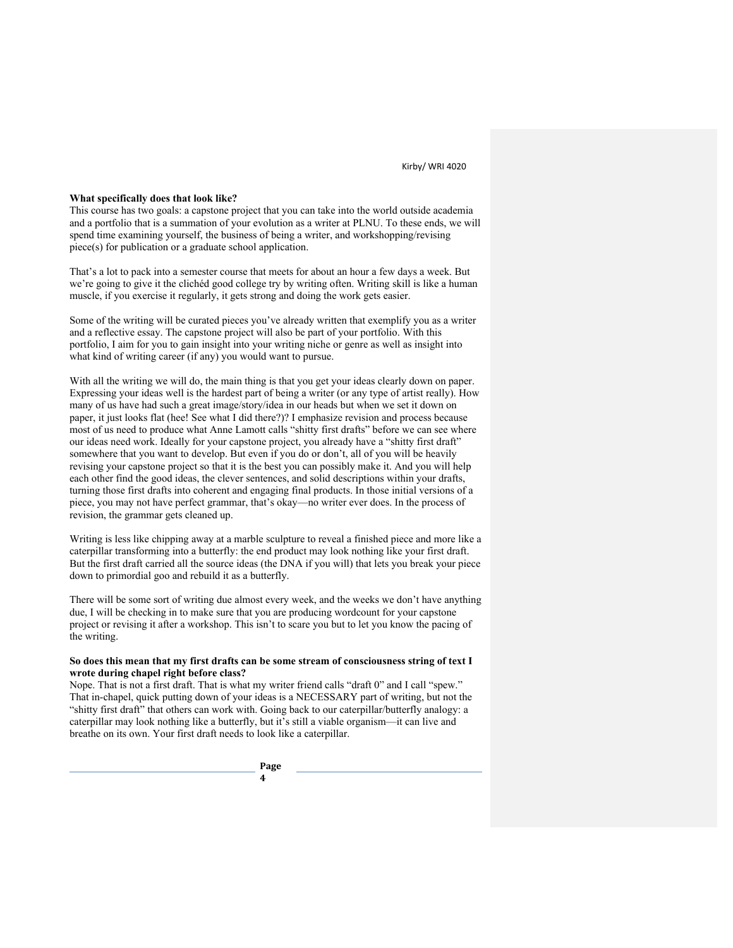#### **What specifically does that look like?**

This course has two goals: a capstone project that you can take into the world outside academia and a portfolio that is a summation of your evolution as a writer at PLNU. To these ends, we will spend time examining yourself, the business of being a writer, and workshopping/revising piece(s) for publication or a graduate school application.

That's a lot to pack into a semester course that meets for about an hour a few days a week. But we're going to give it the clichéd good college try by writing often. Writing skill is like a human muscle, if you exercise it regularly, it gets strong and doing the work gets easier.

Some of the writing will be curated pieces you've already written that exemplify you as a writer and a reflective essay. The capstone project will also be part of your portfolio. With this portfolio, I aim for you to gain insight into your writing niche or genre as well as insight into what kind of writing career (if any) you would want to pursue.

With all the writing we will do, the main thing is that you get your ideas clearly down on paper. Expressing your ideas well is the hardest part of being a writer (or any type of artist really). How many of us have had such a great image/story/idea in our heads but when we set it down on paper, it just looks flat (hee! See what I did there?)? I emphasize revision and process because most of us need to produce what Anne Lamott calls "shitty first drafts" before we can see where our ideas need work. Ideally for your capstone project, you already have a "shitty first draft" somewhere that you want to develop. But even if you do or don't, all of you will be heavily revising your capstone project so that it is the best you can possibly make it. And you will help each other find the good ideas, the clever sentences, and solid descriptions within your drafts, turning those first drafts into coherent and engaging final products. In those initial versions of a piece, you may not have perfect grammar, that's okay—no writer ever does. In the process of revision, the grammar gets cleaned up.

Writing is less like chipping away at a marble sculpture to reveal a finished piece and more like a caterpillar transforming into a butterfly: the end product may look nothing like your first draft. But the first draft carried all the source ideas (the DNA if you will) that lets you break your piece down to primordial goo and rebuild it as a butterfly.

There will be some sort of writing due almost every week, and the weeks we don't have anything due, I will be checking in to make sure that you are producing wordcount for your capstone project or revising it after a workshop. This isn't to scare you but to let you know the pacing of the writing.

## **So does this mean that my first drafts can be some stream of consciousness string of text I wrote during chapel right before class?**

Nope. That is not a first draft. That is what my writer friend calls "draft 0" and I call "spew." That in-chapel, quick putting down of your ideas is a NECESSARY part of writing, but not the "shitty first draft" that others can work with. Going back to our caterpillar/butterfly analogy: a caterpillar may look nothing like a butterfly, but it's still a viable organism—it can live and breathe on its own. Your first draft needs to look like a caterpillar.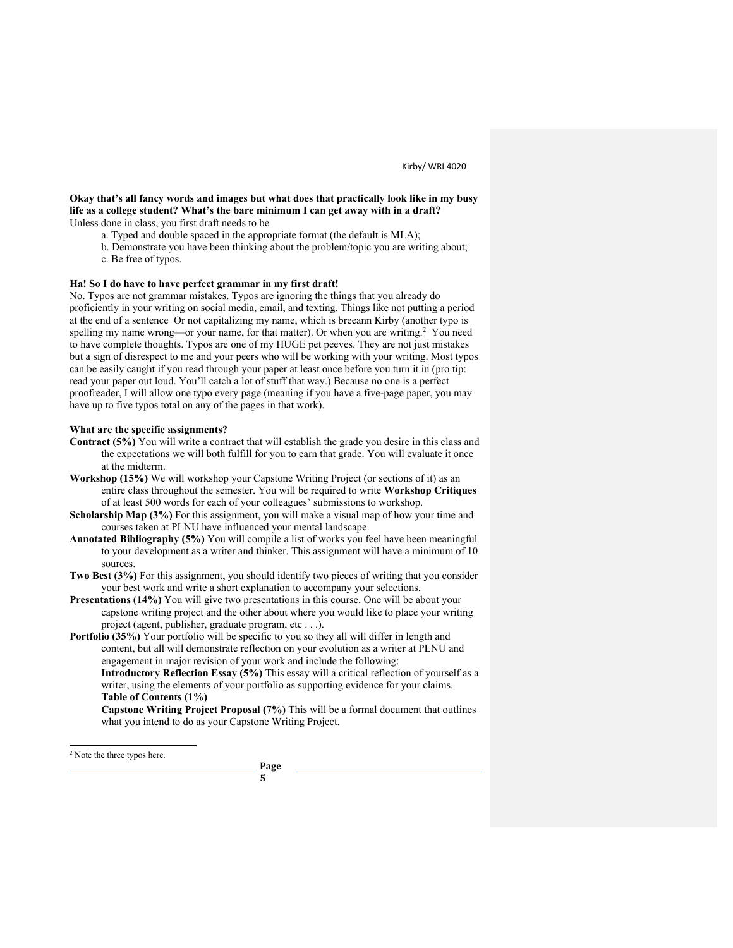## **Okay that's all fancy words and images but what does that practically look like in my busy life as a college student? What's the bare minimum I can get away with in a draft?** Unless done in class, you first draft needs to be

- a. Typed and double spaced in the appropriate format (the default is MLA);
- b. Demonstrate you have been thinking about the problem/topic you are writing about;
- c. Be free of typos.

## **Ha! So I do have to have perfect grammar in my first draft!**

No. Typos are not grammar mistakes. Typos are ignoring the things that you already do proficiently in your writing on social media, email, and texting. Things like not putting a period at the end of a sentence Or not capitalizing my name, which is breeann Kirby (another typo is spelling my name wrong—or your name, for that matter). Or when you are writing.<sup>2</sup> You need to have complete thoughts. Typos are one of my HUGE pet peeves. They are not just mistakes but a sign of disrespect to me and your peers who will be working with your writing. Most typos can be easily caught if you read through your paper at least once before you turn it in (pro tip: read your paper out loud. You'll catch a lot of stuff that way.) Because no one is a perfect proofreader, I will allow one typo every page (meaning if you have a five-page paper, you may have up to five typos total on any of the pages in that work).

### **What are the specific assignments?**

- **Contract (5%)** You will write a contract that will establish the grade you desire in this class and the expectations we will both fulfill for you to earn that grade. You will evaluate it once at the midterm.
- **Workshop (15%)** We will workshop your Capstone Writing Project (or sections of it) as an entire class throughout the semester. You will be required to write **Workshop Critiques** of at least 500 words for each of your colleagues' submissions to workshop.
- **Scholarship Map (3%)** For this assignment, you will make a visual map of how your time and courses taken at PLNU have influenced your mental landscape.
- **Annotated Bibliography (5%)** You will compile a list of works you feel have been meaningful to your development as a writer and thinker. This assignment will have a minimum of 10 sources.
- **Two Best (3%)** For this assignment, you should identify two pieces of writing that you consider your best work and write a short explanation to accompany your selections.
- **Presentations (14%)** You will give two presentations in this course. One will be about your capstone writing project and the other about where you would like to place your writing project (agent, publisher, graduate program, etc . . .).
- **Portfolio (35%)** Your portfolio will be specific to you so they all will differ in length and content, but all will demonstrate reflection on your evolution as a writer at PLNU and engagement in major revision of your work and include the following: **Introductory Reflection Essay (5%)** This essay will a critical reflection of yourself as a writer, using the elements of your portfolio as supporting evidence for your claims. **Table of Contents (1%)**

**Capstone Writing Project Proposal (7%)** This will be a formal document that outlines what you intend to do as your Capstone Writing Project.

<sup>2</sup> Note the three typos here.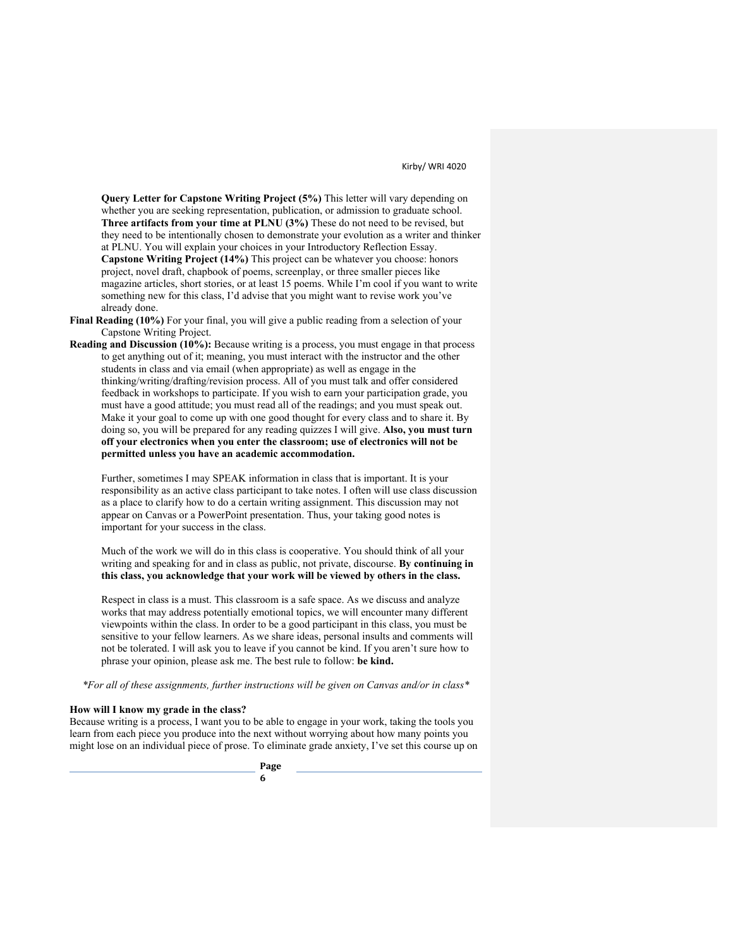**Query Letter for Capstone Writing Project (5%)** This letter will vary depending on whether you are seeking representation, publication, or admission to graduate school. **Three artifacts from your time at PLNU (3%)** These do not need to be revised, but they need to be intentionally chosen to demonstrate your evolution as a writer and thinker at PLNU. You will explain your choices in your Introductory Reflection Essay. **Capstone Writing Project (14%)** This project can be whatever you choose: honors project, novel draft, chapbook of poems, screenplay, or three smaller pieces like magazine articles, short stories, or at least 15 poems. While I'm cool if you want to write something new for this class, I'd advise that you might want to revise work you've already done.

- **Final Reading (10%)** For your final, you will give a public reading from a selection of your Capstone Writing Project.
- **Reading and Discussion (10%):** Because writing is a process, you must engage in that process to get anything out of it; meaning, you must interact with the instructor and the other students in class and via email (when appropriate) as well as engage in the thinking/writing/drafting/revision process. All of you must talk and offer considered feedback in workshops to participate. If you wish to earn your participation grade, you must have a good attitude; you must read all of the readings; and you must speak out. Make it your goal to come up with one good thought for every class and to share it. By doing so, you will be prepared for any reading quizzes I will give. **Also, you must turn off your electronics when you enter the classroom; use of electronics will not be permitted unless you have an academic accommodation.**

Further, sometimes I may SPEAK information in class that is important. It is your responsibility as an active class participant to take notes. I often will use class discussion as a place to clarify how to do a certain writing assignment. This discussion may not appear on Canvas or a PowerPoint presentation. Thus, your taking good notes is important for your success in the class.

Much of the work we will do in this class is cooperative. You should think of all your writing and speaking for and in class as public, not private, discourse. **By continuing in this class, you acknowledge that your work will be viewed by others in the class.**

Respect in class is a must. This classroom is a safe space. As we discuss and analyze works that may address potentially emotional topics, we will encounter many different viewpoints within the class. In order to be a good participant in this class, you must be sensitive to your fellow learners. As we share ideas, personal insults and comments will not be tolerated. I will ask you to leave if you cannot be kind. If you aren't sure how to phrase your opinion, please ask me. The best rule to follow: **be kind.**

*\*For all of these assignments, further instructions will be given on Canvas and/or in class\**

## **How will I know my grade in the class?**

Because writing is a process, I want you to be able to engage in your work, taking the tools you learn from each piece you produce into the next without worrying about how many points you might lose on an individual piece of prose. To eliminate grade anxiety, I've set this course up on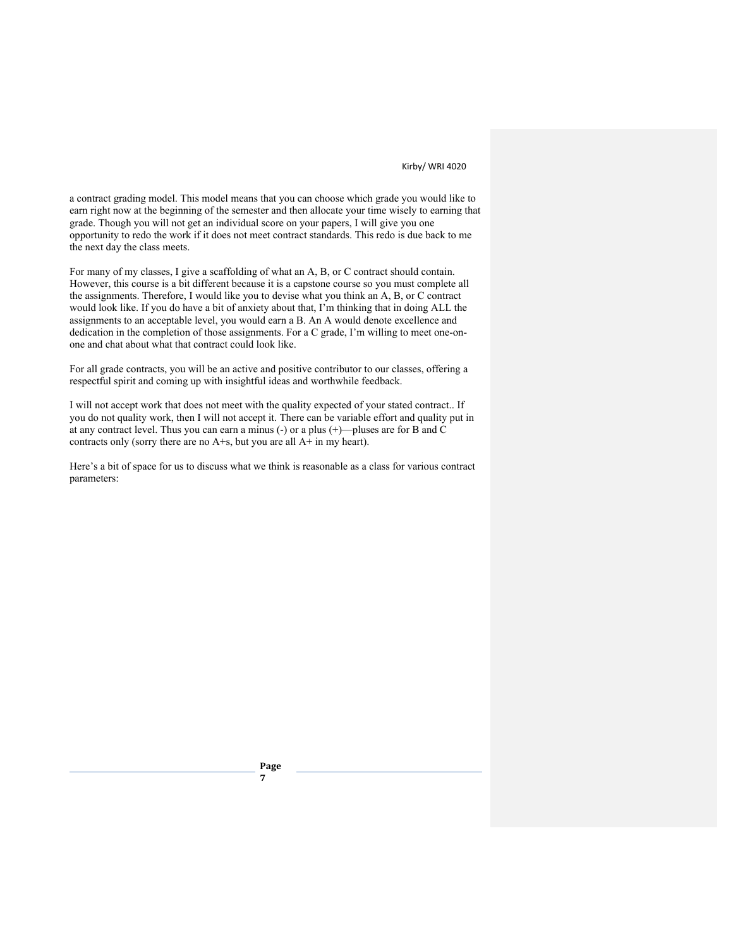a contract grading model. This model means that you can choose which grade you would like to earn right now at the beginning of the semester and then allocate your time wisely to earning that grade. Though you will not get an individual score on your papers, I will give you one opportunity to redo the work if it does not meet contract standards. This redo is due back to me the next day the class meets.

For many of my classes, I give a scaffolding of what an A, B, or C contract should contain. However, this course is a bit different because it is a capstone course so you must complete all the assignments. Therefore, I would like you to devise what you think an A, B, or C contract would look like. If you do have a bit of anxiety about that, I'm thinking that in doing ALL the assignments to an acceptable level, you would earn a B. An A would denote excellence and dedication in the completion of those assignments. For a C grade, I'm willing to meet one-onone and chat about what that contract could look like.

For all grade contracts, you will be an active and positive contributor to our classes, offering a respectful spirit and coming up with insightful ideas and worthwhile feedback.

I will not accept work that does not meet with the quality expected of your stated contract.. If you do not quality work, then I will not accept it. There can be variable effort and quality put in at any contract level. Thus you can earn a minus (-) or a plus (+)—pluses are for B and C contracts only (sorry there are no A+s, but you are all A+ in my heart).

Here's a bit of space for us to discuss what we think is reasonable as a class for various contract parameters: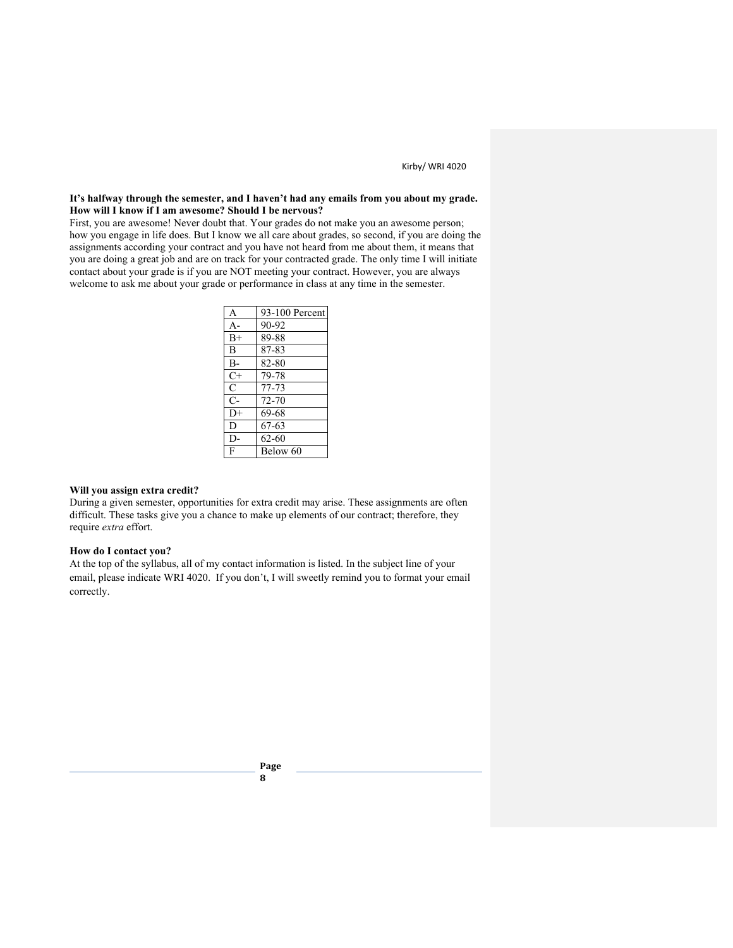## **It's halfway through the semester, and I haven't had any emails from you about my grade. How will I know if I am awesome? Should I be nervous?**

First, you are awesome! Never doubt that. Your grades do not make you an awesome person; how you engage in life does. But I know we all care about grades, so second, if you are doing the assignments according your contract and you have not heard from me about them, it means that you are doing a great job and are on track for your contracted grade. The only time I will initiate contact about your grade is if you are NOT meeting your contract. However, you are always welcome to ask me about your grade or performance in class at any time in the semester.

| 93-100 Percent |
|----------------|
| 90-92          |
| 89-88          |
| 87-83          |
| 82-80          |
| 79-78          |
| 77-73          |
| 72-70          |
| 69-68          |
| 67-63          |
| 62-60          |
| Below 60       |
|                |

### **Will you assign extra credit?**

During a given semester, opportunities for extra credit may arise. These assignments are often difficult. These tasks give you a chance to make up elements of our contract; therefore, they require *extra* effort.

## **How do I contact you?**

At the top of the syllabus, all of my contact information is listed. In the subject line of your email, please indicate WRI 4020. If you don't, I will sweetly remind you to format your email correctly.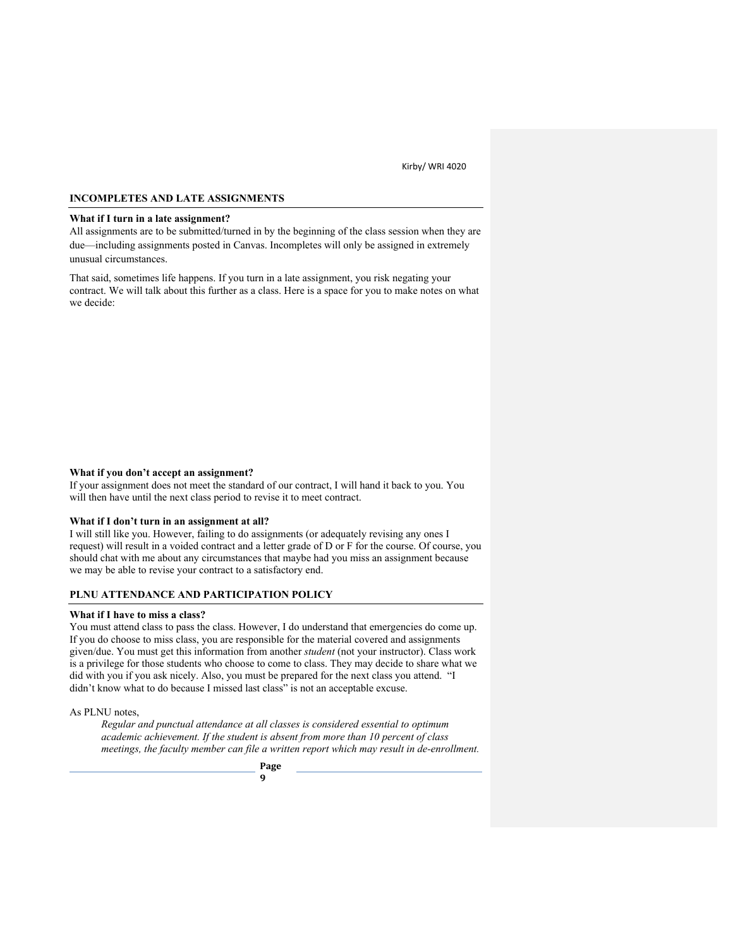## **INCOMPLETES AND LATE ASSIGNMENTS**

### **What if I turn in a late assignment?**

All assignments are to be submitted/turned in by the beginning of the class session when they are due—including assignments posted in Canvas. Incompletes will only be assigned in extremely unusual circumstances.

That said, sometimes life happens. If you turn in a late assignment, you risk negating your contract. We will talk about this further as a class. Here is a space for you to make notes on what we decide:

## **What if you don't accept an assignment?**

If your assignment does not meet the standard of our contract, I will hand it back to you. You will then have until the next class period to revise it to meet contract.

#### **What if I don't turn in an assignment at all?**

I will still like you. However, failing to do assignments (or adequately revising any ones I request) will result in a voided contract and a letter grade of D or F for the course. Of course, you should chat with me about any circumstances that maybe had you miss an assignment because we may be able to revise your contract to a satisfactory end.

## **PLNU ATTENDANCE AND PARTICIPATION POLICY**

#### **What if I have to miss a class?**

You must attend class to pass the class. However, I do understand that emergencies do come up. If you do choose to miss class, you are responsible for the material covered and assignments given/due. You must get this information from another *student* (not your instructor). Class work is a privilege for those students who choose to come to class. They may decide to share what we did with you if you ask nicely. Also, you must be prepared for the next class you attend. "I didn't know what to do because I missed last class" is not an acceptable excuse.

As PLNU notes,

*Regular and punctual attendance at all classes is considered essential to optimum academic achievement. If the student is absent from more than 10 percent of class meetings, the faculty member can file a written report which may result in de-enrollment.*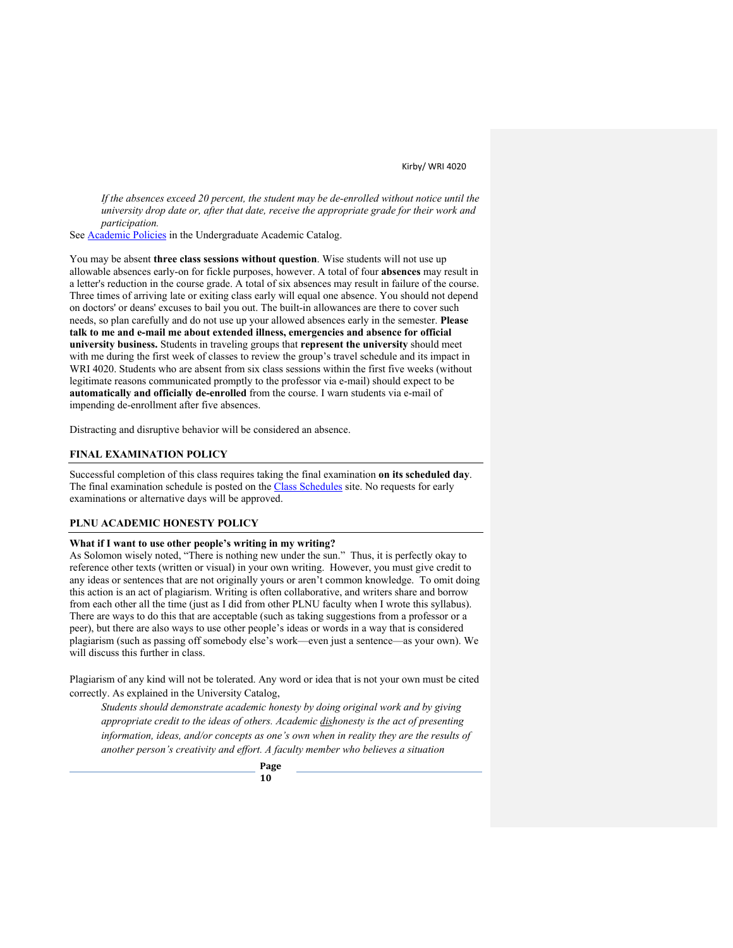*If the absences exceed 20 percent, the student may be de-enrolled without notice until the university drop date or, after that date, receive the appropriate grade for their work and participation.* 

See **Academic Policies** in the Undergraduate Academic Catalog.

You may be absent **three class sessions without question**. Wise students will not use up allowable absences early-on for fickle purposes, however. A total of four **absences** may result in a letter's reduction in the course grade. A total of six absences may result in failure of the course. Three times of arriving late or exiting class early will equal one absence. You should not depend on doctors' or deans' excuses to bail you out. The built-in allowances are there to cover such needs, so plan carefully and do not use up your allowed absences early in the semester. **Please talk to me and e-mail me about extended illness, emergencies and absence for official university business.** Students in traveling groups that **represent the university** should meet with me during the first week of classes to review the group's travel schedule and its impact in WRI 4020. Students who are absent from six class sessions within the first five weeks (without legitimate reasons communicated promptly to the professor via e-mail) should expect to be **automatically and officially de-enrolled** from the course. I warn students via e-mail of impending de-enrollment after five absences.

Distracting and disruptive behavior will be considered an absence.

### **FINAL EXAMINATION POLICY**

Successful completion of this class requires taking the final examination **on its scheduled day**. The final examination schedule is posted on the Class Schedules site. No requests for early examinations or alternative days will be approved.

#### **PLNU ACADEMIC HONESTY POLICY**

### **What if I want to use other people's writing in my writing?**

As Solomon wisely noted, "There is nothing new under the sun." Thus, it is perfectly okay to reference other texts (written or visual) in your own writing. However, you must give credit to any ideas or sentences that are not originally yours or aren't common knowledge. To omit doing this action is an act of plagiarism. Writing is often collaborative, and writers share and borrow from each other all the time (just as I did from other PLNU faculty when I wrote this syllabus). There are ways to do this that are acceptable (such as taking suggestions from a professor or a peer), but there are also ways to use other people's ideas or words in a way that is considered plagiarism (such as passing off somebody else's work—even just a sentence—as your own). We will discuss this further in class.

Plagiarism of any kind will not be tolerated. Any word or idea that is not your own must be cited correctly. As explained in the University Catalog,

*Students should demonstrate academic honesty by doing original work and by giving appropriate credit to the ideas of others. Academic dishonesty is the act of presenting information, ideas, and/or concepts as one's own when in reality they are the results of another person's creativity and effort. A faculty member who believes a situation*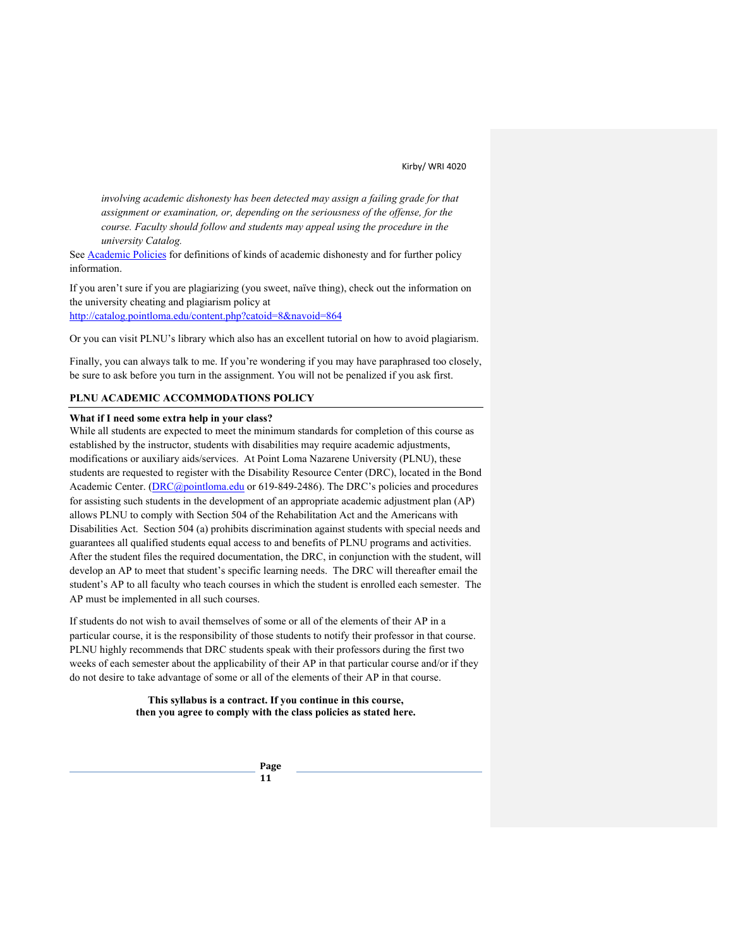*involving academic dishonesty has been detected may assign a failing grade for that assignment or examination, or, depending on the seriousness of the offense, for the course. Faculty should follow and students may appeal using the procedure in the university Catalog.*

See Academic Policies for definitions of kinds of academic dishonesty and for further policy information.

If you aren't sure if you are plagiarizing (you sweet, naïve thing), check out the information on the university cheating and plagiarism policy at http://catalog.pointloma.edu/content.php?catoid=8&navoid=864

Or you can visit PLNU's library which also has an excellent tutorial on how to avoid plagiarism.

Finally, you can always talk to me. If you're wondering if you may have paraphrased too closely, be sure to ask before you turn in the assignment. You will not be penalized if you ask first.

## **PLNU ACADEMIC ACCOMMODATIONS POLICY**

#### **What if I need some extra help in your class?**

While all students are expected to meet the minimum standards for completion of this course as established by the instructor, students with disabilities may require academic adjustments, modifications or auxiliary aids/services. At Point Loma Nazarene University (PLNU), these students are requested to register with the Disability Resource Center (DRC), located in the Bond Academic Center. (*DRC@pointloma.edu or 619-849-2486*). The DRC's policies and procedures for assisting such students in the development of an appropriate academic adjustment plan (AP) allows PLNU to comply with Section 504 of the Rehabilitation Act and the Americans with Disabilities Act. Section 504 (a) prohibits discrimination against students with special needs and guarantees all qualified students equal access to and benefits of PLNU programs and activities. After the student files the required documentation, the DRC, in conjunction with the student, will develop an AP to meet that student's specific learning needs. The DRC will thereafter email the student's AP to all faculty who teach courses in which the student is enrolled each semester. The AP must be implemented in all such courses.

If students do not wish to avail themselves of some or all of the elements of their AP in a particular course, it is the responsibility of those students to notify their professor in that course. PLNU highly recommends that DRC students speak with their professors during the first two weeks of each semester about the applicability of their AP in that particular course and/or if they do not desire to take advantage of some or all of the elements of their AP in that course.

> **This syllabus is a contract. If you continue in this course, then you agree to comply with the class policies as stated here.**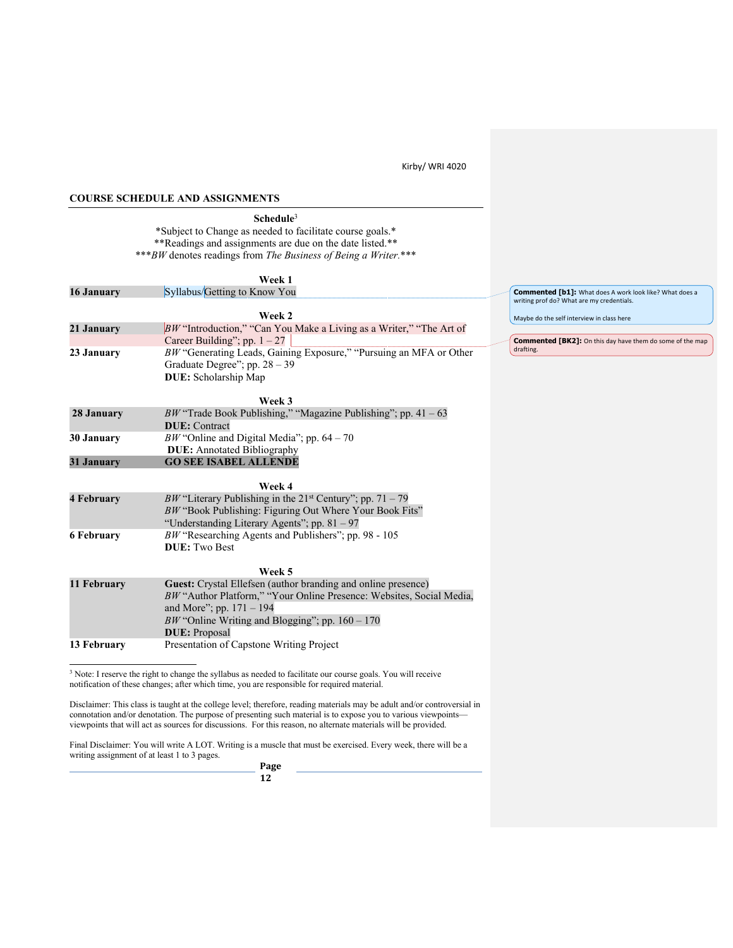m do some of the map

## **COURSE SCHEDULE AND ASSIGNMENTS**

**Schedule**<sup>3</sup> \*Subject to Change as needed to facilitate course goals.\* \*\*Readings and assignments are due on the date listed.\*\* \*\*\**BW* denotes readings from *The Business of Being a Writer.*\*\*\*

|                   | Week 1                                                                       |                                                                             |
|-------------------|------------------------------------------------------------------------------|-----------------------------------------------------------------------------|
| 16 January        | Syllabus/Getting to Know You                                                 | <b>Commented [b1]:</b> What does A work look like? What does a              |
|                   |                                                                              | writing prof do? What are my credentials.                                   |
|                   | Week 2                                                                       | Maybe do the self interview in class here                                   |
| 21 January        | BW "Introduction," "Can You Make a Living as a Writer," "The Art of          |                                                                             |
|                   | Career Building"; pp. $1 - 27$                                               | <b>Commented [BK2]:</b> On this day have them do some of the n<br>drafting. |
| 23 January        | BW "Generating Leads, Gaining Exposure," "Pursuing an MFA or Other           |                                                                             |
|                   | Graduate Degree"; pp. $28 - 39$                                              |                                                                             |
|                   | DUE: Scholarship Map                                                         |                                                                             |
|                   | Week 3                                                                       |                                                                             |
| 28 January        | BW "Trade Book Publishing," "Magazine Publishing"; pp. $41 - 63$             |                                                                             |
|                   | <b>DUE</b> : Contract                                                        |                                                                             |
| 30 January        | BW "Online and Digital Media"; pp. $64 - 70$                                 |                                                                             |
|                   | <b>DUE:</b> Annotated Bibliography                                           |                                                                             |
| 31 January        | <b>GO SEE ISABEL ALLENDE</b>                                                 |                                                                             |
|                   |                                                                              |                                                                             |
|                   | Week 4                                                                       |                                                                             |
| <b>4 February</b> | <i>BW</i> "Literary Publishing in the 21 <sup>st</sup> Century"; pp. 71 – 79 |                                                                             |
|                   | BW "Book Publishing: Figuring Out Where Your Book Fits"                      |                                                                             |
|                   | "Understanding Literary Agents"; pp. 81 - 97                                 |                                                                             |
| <b>6 February</b> | $BW$ "Researching Agents and Publishers"; pp. 98 - 105                       |                                                                             |
|                   | <b>DUE:</b> Two Best                                                         |                                                                             |
|                   | Week 5                                                                       |                                                                             |
| 11 February       | Guest: Crystal Ellefsen (author branding and online presence)                |                                                                             |
|                   | BW "Author Platform," "Your Online Presence: Websites, Social Media,         |                                                                             |
|                   | and More"; pp. $171 - 194$                                                   |                                                                             |
|                   | BW "Online Writing and Blogging"; pp. $160 - 170$                            |                                                                             |
|                   | <b>DUE</b> : Proposal                                                        |                                                                             |
| 13 February       | Presentation of Capstone Writing Project                                     |                                                                             |

<sup>3</sup> Note: I reserve the right to change the syllabus as needed to facilitate our course goals. You will receive notification of these changes; after which time, you are responsible for required material.

Disclaimer: This class is taught at the college level; therefore, reading materials may be adult and/or controversial in connotation and/or denotation. The purpose of presenting such material is to expose you to various viewpoints viewpoints that will act as sources for discussions. For this reason, no alternate materials will be provided.

Final Disclaimer: You will write A LOT. Writing is a muscle that must be exercised. Every week, there will be a writing assignment of at least 1 to 3 pages.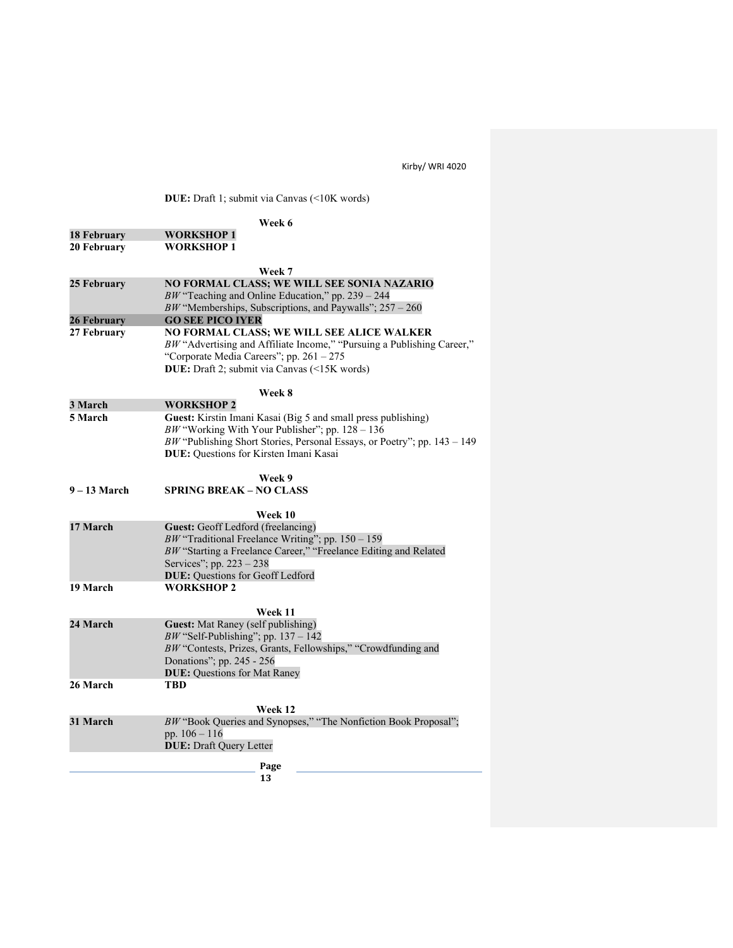**DUE:** Draft 1; submit via Canvas (<10K words)

|                    | Week 6                                                                                                             |  |  |  |
|--------------------|--------------------------------------------------------------------------------------------------------------------|--|--|--|
| <b>18 February</b> | <b>WORKSHOP 1</b>                                                                                                  |  |  |  |
| 20 February        | <b>WORKSHOP 1</b>                                                                                                  |  |  |  |
|                    |                                                                                                                    |  |  |  |
|                    | Week 7                                                                                                             |  |  |  |
| 25 February        | NO FORMAL CLASS; WE WILL SEE SONIA NAZARIO                                                                         |  |  |  |
|                    | BW "Teaching and Online Education," pp. $239 - 244$                                                                |  |  |  |
| 26 February        | BW "Memberships, Subscriptions, and Paywalls"; $257 - 260$<br><b>GO SEE PICO IYER</b>                              |  |  |  |
| 27 February        | NO FORMAL CLASS; WE WILL SEE ALICE WALKER                                                                          |  |  |  |
|                    | BW "Advertising and Affiliate Income," "Pursuing a Publishing Career,"                                             |  |  |  |
|                    | "Corporate Media Careers"; pp. 261 - 275                                                                           |  |  |  |
|                    | DUE: Draft 2; submit via Canvas (<15K words)                                                                       |  |  |  |
|                    |                                                                                                                    |  |  |  |
|                    | Week 8                                                                                                             |  |  |  |
| 3 March<br>5 March | <b>WORKSHOP 2</b>                                                                                                  |  |  |  |
|                    | Guest: Kirstin Imani Kasai (Big 5 and small press publishing)<br>BW "Working With Your Publisher"; pp. $128 - 136$ |  |  |  |
|                    | BW "Publishing Short Stories, Personal Essays, or Poetry"; pp. 143 - 149                                           |  |  |  |
|                    | DUE: Questions for Kirsten Imani Kasai                                                                             |  |  |  |
|                    |                                                                                                                    |  |  |  |
|                    | Week 9                                                                                                             |  |  |  |
| $9 - 13$ March     | <b>SPRING BREAK – NO CLASS</b>                                                                                     |  |  |  |
|                    | Week 10                                                                                                            |  |  |  |
| 17 March           | Guest: Geoff Ledford (freelancing)                                                                                 |  |  |  |
|                    | $BW$ "Traditional Freelance Writing"; pp. 150 - 159                                                                |  |  |  |
|                    | BW "Starting a Freelance Career," "Freelance Editing and Related                                                   |  |  |  |
|                    | Services"; pp. 223 - 238                                                                                           |  |  |  |
|                    | <b>DUE:</b> Questions for Geoff Ledford                                                                            |  |  |  |
| 19 March           | <b>WORKSHOP 2</b>                                                                                                  |  |  |  |
|                    |                                                                                                                    |  |  |  |
| 24 March           | Week 11<br>Guest: Mat Raney (self publishing)                                                                      |  |  |  |
|                    | $BW$ "Self-Publishing"; pp. 137 - 142                                                                              |  |  |  |
|                    | BW "Contests, Prizes, Grants, Fellowships," "Crowdfunding and                                                      |  |  |  |
|                    | Donations"; pp. 245 - 256                                                                                          |  |  |  |
|                    | <b>DUE: Questions for Mat Raney</b>                                                                                |  |  |  |
| 26 March           | TBD                                                                                                                |  |  |  |
|                    | Week 12                                                                                                            |  |  |  |
| 31 March           | BW "Book Queries and Synopses," "The Nonfiction Book Proposal";                                                    |  |  |  |
|                    | pp. $106 - 116$                                                                                                    |  |  |  |
|                    | <b>DUE: Draft Query Letter</b>                                                                                     |  |  |  |
|                    |                                                                                                                    |  |  |  |
| Page<br>13         |                                                                                                                    |  |  |  |
|                    |                                                                                                                    |  |  |  |